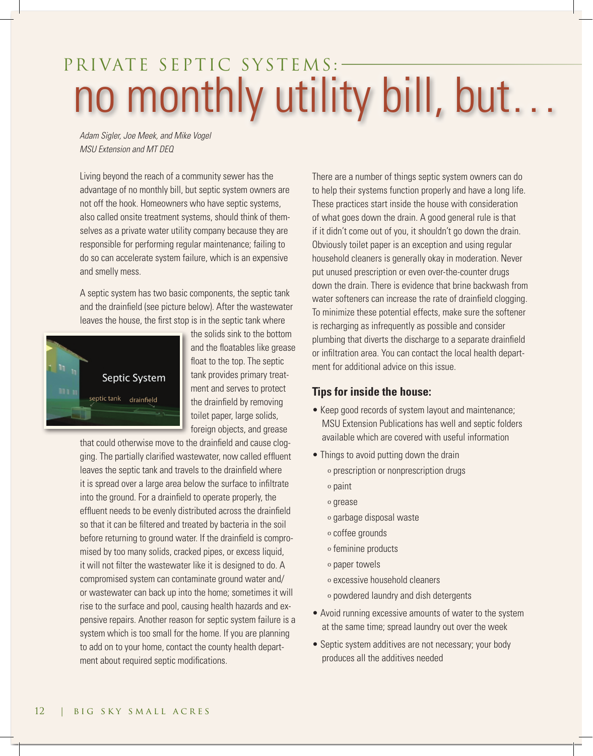## PRIVATE SEPTIC SYSTEMS:no monthly utility bill, but…

*Adam Sigler, Joe Meek, and Mike Vogel MSU Extension and MT DEQ*

Living beyond the reach of a community sewer has the advantage of no monthly bill, but septic system owners are not off the hook. Homeowners who have septic systems, also called onsite treatment systems, should think of themselves as a private water utility company because they are responsible for performing regular maintenance; failing to do so can accelerate system failure, which is an expensive and smelly mess.

A septic system has two basic components, the septic tank and the drainfield (see picture below). After the wastewater leaves the house, the first stop is in the septic tank where



the solids sink to the bottom and the floatables like grease float to the top. The septic tank provides primary treatment and serves to protect the drainfield by removing toilet paper, large solids, foreign objects, and grease

that could otherwise move to the drainfield and cause clogging. The partially clarified wastewater, now called effluent leaves the septic tank and travels to the drainfield where it is spread over a large area below the surface to infiltrate into the ground. For a drainfield to operate properly, the effluent needs to be evenly distributed across the drainfield so that it can be filtered and treated by bacteria in the soil before returning to ground water. If the drainfield is compromised by too many solids, cracked pipes, or excess liquid, it will not filter the wastewater like it is designed to do. A compromised system can contaminate ground water and/ or wastewater can back up into the home; sometimes it will rise to the surface and pool, causing health hazards and expensive repairs. Another reason for septic system failure is a system which is too small for the home. If you are planning to add on to your home, contact the county health department about required septic modifications.

There are a number of things septic system owners can do to help their systems function properly and have a long life. These practices start inside the house with consideration of what goes down the drain. A good general rule is that if it didn't come out of you, it shouldn't go down the drain. Obviously toilet paper is an exception and using regular household cleaners is generally okay in moderation. Never put unused prescription or even over-the-counter drugs down the drain. There is evidence that brine backwash from water softeners can increase the rate of drainfield clogging. To minimize these potential effects, make sure the softener is recharging as infrequently as possible and consider plumbing that diverts the discharge to a separate drainfield or infiltration area. You can contact the local health department for additional advice on this issue.

## **Tips for inside the house:**

- Keep good records of system layout and maintenance; MSU Extension Publications has well and septic folders available which are covered with useful information
- Things to avoid putting down the drain
	- º prescription or nonprescription drugs
	- º paint
	- º grease
	- º garbage disposal waste
	- º coffee grounds
	- º feminine products
	- º paper towels
	- º excessive household cleaners
	- º powdered laundry and dish detergents
- Avoid running excessive amounts of water to the system at the same time; spread laundry out over the week
- Septic system additives are not necessary; your body produces all the additives needed